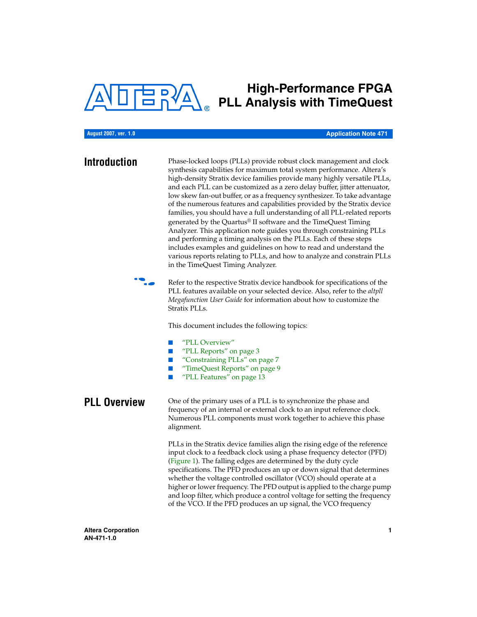

# **High-Performance FPGA PLL Analysis with TimeQuest**

### **August 2007, ver. 1.0**

### **Application Note 471**

**Introduction** Phase-locked loops (PLLs) provide robust clock management and clock synthesis capabilities for maximum total system performance. Altera's high-density Stratix device families provide many highly versatile PLLs, and each PLL can be customized as a zero delay buffer, jitter attenuator, low skew fan-out buffer, or as a frequency synthesizer. To take advantage of the numerous features and capabilities provided by the Stratix device families, you should have a full understanding of all PLL-related reports generated by the Quartus® II software and the TimeQuest Timing Analyzer. This application note guides you through constraining PLLs and performing a timing analysis on the PLLs. Each of these steps includes examples and guidelines on how to read and understand the various reports relating to PLLs, and how to analyze and constrain PLLs in the TimeQuest Timing Analyzer.



Refer to the respective Stratix device handbook for specifications of the PLL features available on your selected device. Also, refer to the *altpll Megafunction User Guide* for information about how to customize the Stratix PLLs.

This document includes the following topics:

- ["PLL Overview"](#page-0-0)
- ["PLL Reports" on page 3](#page-2-0)
- ["Constraining PLLs" on page 7](#page-6-0)
- ["TimeQuest Reports" on page 9](#page-8-0)
- ["PLL Features" on page 13](#page-12-0)

<span id="page-0-0"></span>**PLL OVERVIEW** One of the primary uses of a PLL is to synchronize the phase and frequency of an internal or external clock to an input reference clock. Numerous PLL components must work together to achieve this phase alignment.

> PLLs in the Stratix device families align the rising edge of the reference input clock to a feedback clock using a phase frequency detector (PFD) ([Figure 1](#page-1-0)). The falling edges are determined by the duty cycle specifications. The PFD produces an up or down signal that determines whether the voltage controlled oscillator (VCO) should operate at a higher or lower frequency. The PFD output is applied to the charge pump and loop filter, which produce a control voltage for setting the frequency of the VCO. If the PFD produces an up signal, the VCO frequency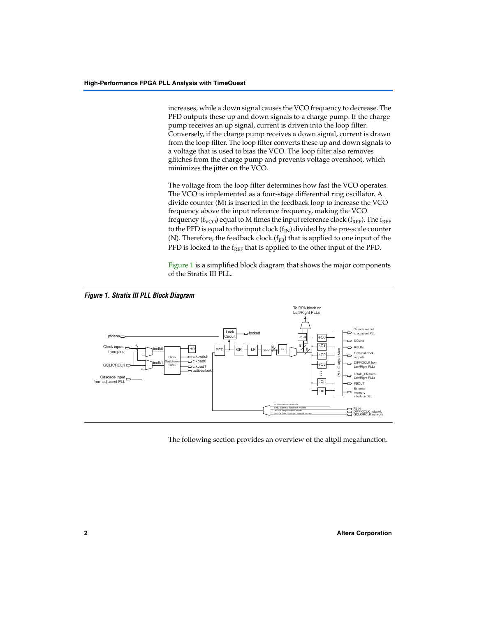increases, while a down signal causes the VCO frequency to decrease. The PFD outputs these up and down signals to a charge pump. If the charge pump receives an up signal, current is driven into the loop filter. Conversely, if the charge pump receives a down signal, current is drawn from the loop filter. The loop filter converts these up and down signals to a voltage that is used to bias the VCO. The loop filter also removes glitches from the charge pump and prevents voltage overshoot, which minimizes the jitter on the VCO.

The voltage from the loop filter determines how fast the VCO operates. The VCO is implemented as a four-stage differential ring oscillator. A divide counter (M) is inserted in the feedback loop to increase the VCO frequency above the input reference frequency, making the VCO frequency ( $f_{VCO}$ ) equal to M times the input reference clock ( $f_{REF}$ ). The  $f_{REF}$ to the PFD is equal to the input clock  $(f_{IN})$  divided by the pre-scale counter (N). Therefore, the feedback clock  $(f_{FB})$  that is applied to one input of the PFD is locked to the  $f_{REF}$  that is applied to the other input of the PFD.

[Figure 1](#page-1-0) is a simplified block diagram that shows the major components of the Stratix III PLL.

<span id="page-1-0"></span>

The following section provides an overview of the altpll megafunction.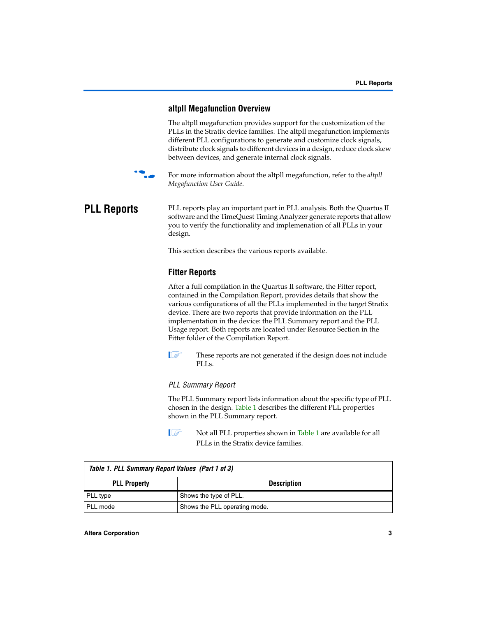## **altpll Megafunction Overview**

The altpll megafunction provides support for the customization of the PLLs in the Stratix device families. The altpll megafunction implements different PLL configurations to generate and customize clock signals, distribute clock signals to different devices in a design, reduce clock skew between devices, and generate internal clock signals.



For more information about the altpll megafunction, refer to the *altpll Megafunction User Guide*.

### <span id="page-2-0"></span>**PLL Reports** PLL reports play an important part in PLL analysis. Both the Quartus II software and the TimeQuest Timing Analyzer generate reports that allow you to verify the functionality and implemenation of all PLLs in your design.

This section describes the various reports available.

## **Fitter Reports**

After a full compilation in the Quartus II software, the Fitter report, contained in the Compilation Report, provides details that show the various configurations of all the PLLs implemented in the target Stratix device. There are two reports that provide information on the PLL implementation in the device: the PLL Summary report and the PLL Usage report. Both reports are located under Resource Section in the Fitter folder of the Compilation Report.

**1** These reports are not generated if the design does not include PLLs.

### *PLL Summary Report*

The PLL Summary report lists information about the specific type of PLL chosen in the design. [Table 1](#page-2-1) describes the different PLL properties shown in the PLL Summary report.

**1 Not all PLL properties shown in [Table 1](#page-2-1) are available for all** PLLs in the Stratix device families.

<span id="page-2-1"></span>

| Table 1. PLL Summary Report Values (Part 1 of 3) |                               |
|--------------------------------------------------|-------------------------------|
| <b>PLL Property</b>                              | <b>Description</b>            |
| PLL type                                         | Shows the type of PLL.        |
| l PLL mode                                       | Shows the PLL operating mode. |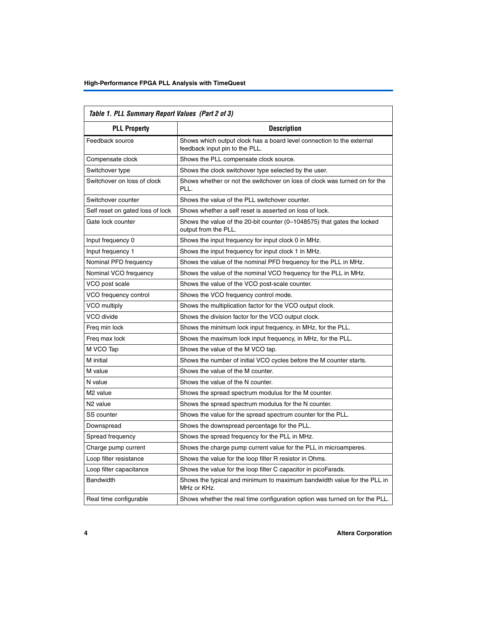| Table 1. PLL Summary Report Values (Part 2 of 3) |                                                                                                         |  |  |  |  |  |
|--------------------------------------------------|---------------------------------------------------------------------------------------------------------|--|--|--|--|--|
| <b>PLL Property</b>                              | <b>Description</b>                                                                                      |  |  |  |  |  |
| Feedback source                                  | Shows which output clock has a board level connection to the external<br>feedback input pin to the PLL. |  |  |  |  |  |
| Compensate clock                                 | Shows the PLL compensate clock source.                                                                  |  |  |  |  |  |
| Switchover type                                  | Shows the clock switchover type selected by the user.                                                   |  |  |  |  |  |
| Switchover on loss of clock                      | Shows whether or not the switchover on loss of clock was turned on for the<br>PLL.                      |  |  |  |  |  |
| Switchover counter                               | Shows the value of the PLL switchover counter.                                                          |  |  |  |  |  |
| Self reset on gated loss of lock                 | Shows whether a self reset is asserted on loss of lock.                                                 |  |  |  |  |  |
| Gate lock counter                                | Shows the value of the 20-bit counter (0-1048575) that gates the locked<br>output from the PLL.         |  |  |  |  |  |
| Input frequency 0                                | Shows the input frequency for input clock 0 in MHz.                                                     |  |  |  |  |  |
| Input frequency 1                                | Shows the input frequency for input clock 1 in MHz.                                                     |  |  |  |  |  |
| Nominal PFD frequency                            | Shows the value of the nominal PFD frequency for the PLL in MHz.                                        |  |  |  |  |  |
| Nominal VCO frequency                            | Shows the value of the nominal VCO frequency for the PLL in MHz.                                        |  |  |  |  |  |
| VCO post scale                                   | Shows the value of the VCO post-scale counter.                                                          |  |  |  |  |  |
| VCO frequency control                            | Shows the VCO frequency control mode.                                                                   |  |  |  |  |  |
| VCO multiply                                     | Shows the multiplication factor for the VCO output clock.                                               |  |  |  |  |  |
| VCO divide                                       | Shows the division factor for the VCO output clock.                                                     |  |  |  |  |  |
| Freg min lock                                    | Shows the minimum lock input frequency, in MHz, for the PLL.                                            |  |  |  |  |  |
| Freq max lock                                    | Shows the maximum lock input frequency, in MHz, for the PLL.                                            |  |  |  |  |  |
| M VCO Tap                                        | Shows the value of the M VCO tap.                                                                       |  |  |  |  |  |
| M initial                                        | Shows the number of initial VCO cycles before the M counter starts.                                     |  |  |  |  |  |
| M value                                          | Shows the value of the M counter.                                                                       |  |  |  |  |  |
| N value                                          | Shows the value of the N counter.                                                                       |  |  |  |  |  |
| M <sub>2</sub> value                             | Shows the spread spectrum modulus for the M counter.                                                    |  |  |  |  |  |
| N <sub>2</sub> value                             | Shows the spread spectrum modulus for the N counter.                                                    |  |  |  |  |  |
| <b>SS counter</b>                                | Shows the value for the spread spectrum counter for the PLL.                                            |  |  |  |  |  |
| Downspread                                       | Shows the downspread percentage for the PLL.                                                            |  |  |  |  |  |
| Spread frequency                                 | Shows the spread frequency for the PLL in MHz.                                                          |  |  |  |  |  |
| Charge pump current                              | Shows the charge pump current value for the PLL in microamperes.                                        |  |  |  |  |  |
| Loop filter resistance                           | Shows the value for the loop filter R resistor in Ohms.                                                 |  |  |  |  |  |
| Loop filter capacitance                          | Shows the value for the loop filter C capacitor in picoFarads.                                          |  |  |  |  |  |
| <b>Bandwidth</b>                                 | Shows the typical and minimum to maximum bandwidth value for the PLL in<br>MHz or KHz.                  |  |  |  |  |  |
| Real time configurable                           | Shows whether the real time configuration option was turned on for the PLL.                             |  |  |  |  |  |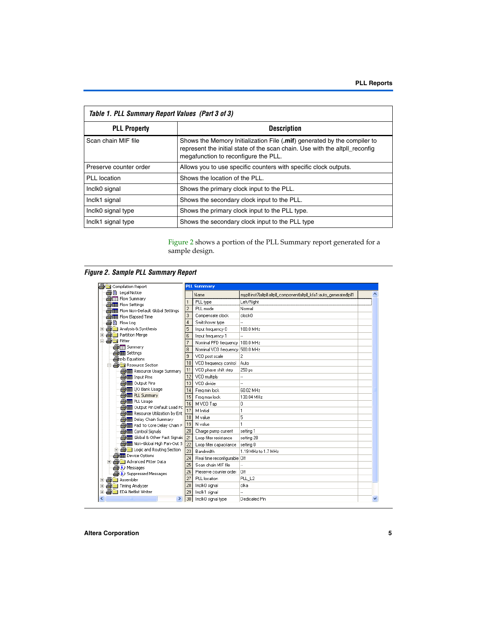| Table 1. PLL Summary Report Values (Part 3 of 3) |                                                                                                                                                                                                 |
|--------------------------------------------------|-------------------------------------------------------------------------------------------------------------------------------------------------------------------------------------------------|
| <b>PLL Property</b>                              | <b>Description</b>                                                                                                                                                                              |
| Scan chain MIF file                              | Shows the Memory Initialization File (.mif) generated by the compiler to<br>represent the initial state of the scan chain. Use with the altpll reconfig<br>megafunction to reconfigure the PLL. |
| Preserve counter order                           | Allows you to use specific counters with specific clock outputs.                                                                                                                                |
| PLL location                                     | Shows the location of the PLL.                                                                                                                                                                  |
| Inclk0 signal                                    | Shows the primary clock input to the PLL.                                                                                                                                                       |
| Inclk1 signal                                    | Shows the secondary clock input to the PLL.                                                                                                                                                     |
| Inclk0 signal type                               | Shows the primary clock input to the PLL type.                                                                                                                                                  |
| Inclk1 signal type                               | Shows the secondary clock input to the PLL type                                                                                                                                                 |

[Figure 2](#page-4-0) shows a portion of the PLL Summary report generated for a sample design.

<span id="page-4-0"></span>*Figure 2. Sample PLL Summary Report*

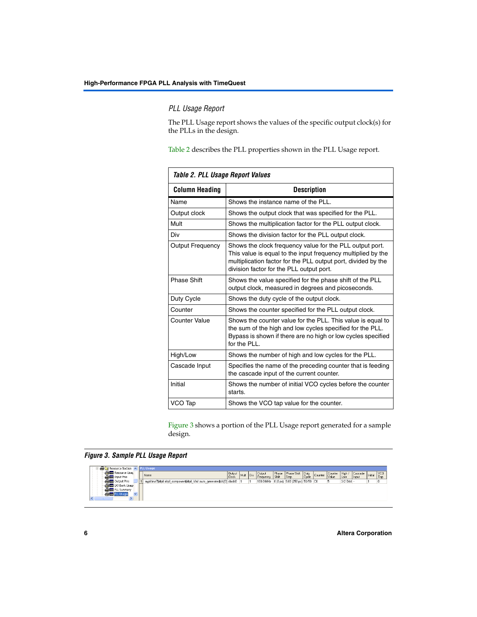### *PLL Usage Report*

The PLL Usage report shows the values of the specific output clock(s) for the PLLs in the design.

[Table 2](#page-5-0) describes the PLL properties shown in the PLL Usage report.

<span id="page-5-0"></span>

| Table 2. PLL Usage Report Values |                                                                                                                                                                                                                                       |  |  |  |  |  |
|----------------------------------|---------------------------------------------------------------------------------------------------------------------------------------------------------------------------------------------------------------------------------------|--|--|--|--|--|
| <b>Column Heading</b>            | <b>Description</b>                                                                                                                                                                                                                    |  |  |  |  |  |
| Name                             | Shows the instance name of the PLL.                                                                                                                                                                                                   |  |  |  |  |  |
| Output clock                     | Shows the output clock that was specified for the PLL.                                                                                                                                                                                |  |  |  |  |  |
| Mult                             | Shows the multiplication factor for the PLL output clock.                                                                                                                                                                             |  |  |  |  |  |
| Div                              | Shows the division factor for the PLL output clock.                                                                                                                                                                                   |  |  |  |  |  |
| <b>Output Frequency</b>          | Shows the clock frequency value for the PLL output port.<br>This value is equal to the input frequency multiplied by the<br>multiplication factor for the PLL output port, divided by the<br>division factor for the PLL output port. |  |  |  |  |  |
| <b>Phase Shift</b>               | Shows the value specified for the phase shift of the PLL<br>output clock, measured in degrees and picoseconds.                                                                                                                        |  |  |  |  |  |
| Duty Cycle                       | Shows the duty cycle of the output clock.                                                                                                                                                                                             |  |  |  |  |  |
| Counter                          | Shows the counter specified for the PLL output clock.                                                                                                                                                                                 |  |  |  |  |  |
| Counter Value                    | Shows the counter value for the PLL. This value is equal to<br>the sum of the high and low cycles specified for the PLL.<br>Bypass is shown if there are no high or low cycles specified<br>for the $PIL$                             |  |  |  |  |  |
| High/Low                         | Shows the number of high and low cycles for the PLL.                                                                                                                                                                                  |  |  |  |  |  |
| Cascade Input                    | Specifies the name of the preceding counter that is feeding<br>the cascade input of the current counter.                                                                                                                              |  |  |  |  |  |
| Initial                          | Shows the number of initial VCO cycles before the counter<br>starts.                                                                                                                                                                  |  |  |  |  |  |
| VCO Tap                          | Shows the VCO tap value for the counter.                                                                                                                                                                                              |  |  |  |  |  |

[Figure 3](#page-5-1) shows a portion of the PLL Usage report generated for a sample design.

### <span id="page-5-1"></span>*Figure 3. Sample PLL Usage Report*

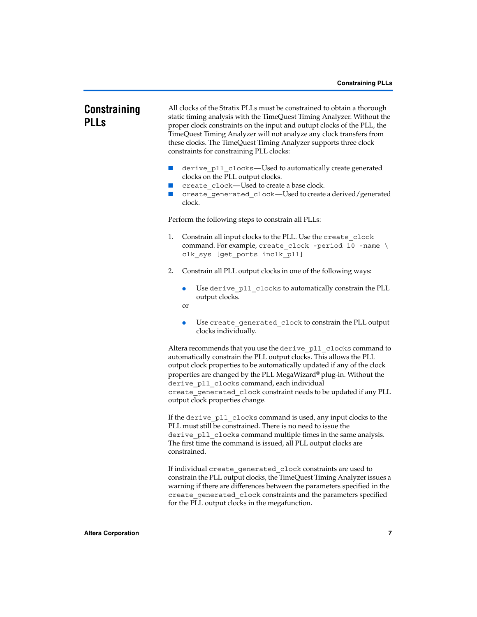# <span id="page-6-0"></span>**Constraining PLLs**

All clocks of the Stratix PLLs must be constrained to obtain a thorough static timing analysis with the TimeQuest Timing Analyzer. Without the proper clock constraints on the input and outupt clocks of the PLL, the TimeQuest Timing Analyzer will not analyze any clock transfers from these clocks. The TimeQuest Timing Analyzer supports three clock constraints for constraining PLL clocks:

- derive pll clocks—Used to automatically create generated clocks on the PLL output clocks.
- create clock—Used to create a base clock.
- create generated clock—Used to create a derived/generated clock.

Perform the following steps to constrain all PLLs:

- 1. Constrain all input clocks to the PLL. Use the create\_clock command. For example, create clock -period 10 -name  $\setminus$ clk\_sys [get\_ports inclk\_pll]
- 2. Constrain all PLL output clocks in one of the following ways:
	- Use derive pll clocks to automatically constrain the PLL output clocks.
	- or
	- Use create\_generated\_clock to constrain the PLL output clocks individually.

Altera recommends that you use the derive pll clocks command to automatically constrain the PLL output clocks. This allows the PLL output clock properties to be automatically updated if any of the clock properties are changed by the PLL MegaWizard® plug-in. Without the derive pll clocks command, each individual create\_generated\_clock constraint needs to be updated if any PLL output clock properties change.

If the derive pll clocks command is used, any input clocks to the PLL must still be constrained. There is no need to issue the derive pll clocks command multiple times in the same analysis. The first time the command is issued, all PLL output clocks are constrained.

If individual create generated clock constraints are used to constrain the PLL output clocks, the TimeQuest Timing Analyzer issues a warning if there are differences between the parameters specified in the create generated clock constraints and the parameters specified for the PLL output clocks in the megafunction.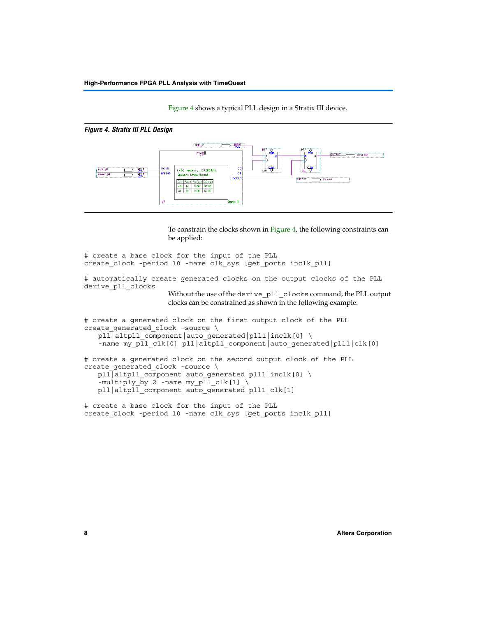[Figure 4](#page-7-0) shows a typical PLL design in a Stratix III device.

<span id="page-7-0"></span>

To constrain the clocks shown in [Figure 4,](#page-7-0) the following constraints can be applied:

```
# create a base clock for the input of the PLL
create clock -period 10 -name clk sys [get ports inclk pll]
# automatically create generated clocks on the output clocks of the PLL
derive_pll_clocks
                     Without the use of the derive pll clocks command, the PLL output
                     clocks can be constrained as shown in the following example:
# create a generated clock on the first output clock of the PLL
create qenerated clock -source \setminuspll|altpll_component|auto_generated|pll1|inclk[0] \
   -name my pll clk[0] pll|altpll component|auto generated|pll1|clk[0]
# create a generated clock on the second output clock of the PLL
create generated clock -source \setminuspll|altpll_component|auto_generated|pll1|inclk[0] \
   -multiply_by 2 -name my pll clk[1] \sqrt{2}pll|altpll_component|auto_generated|pll1|clk[1]
```

```
# create a base clock for the input of the PLL
create clock -period 10 -name clk sys [get ports inclk pll]
```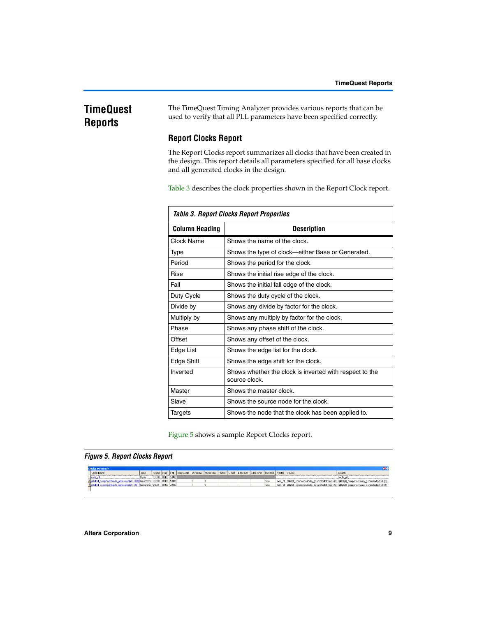# <span id="page-8-0"></span>**TimeQuest Reports**

The TimeQuest Timing Analyzer provides various reports that can be used to verify that all PLL parameters have been specified correctly.

# **Report Clocks Report**

The Report Clocks report summarizes all clocks that have been created in the design. This report details all parameters specified for all base clocks and all generated clocks in the design.

[Table 3](#page-8-2) describes the clock properties shown in the Report Clock report.

<span id="page-8-2"></span>

|                       | <b>Table 3. Report Clocks Report Properties</b>                          |
|-----------------------|--------------------------------------------------------------------------|
| <b>Column Heading</b> | Description                                                              |
| Clock Name            | Shows the name of the clock.                                             |
| Type                  | Shows the type of clock—either Base or Generated.                        |
| Period                | Shows the period for the clock.                                          |
| Rise                  | Shows the initial rise edge of the clock.                                |
| Fall                  | Shows the initial fall edge of the clock.                                |
| Duty Cycle            | Shows the duty cycle of the clock.                                       |
| Divide by             | Shows any divide by factor for the clock.                                |
| Multiply by           | Shows any multiply by factor for the clock.                              |
| Phase                 | Shows any phase shift of the clock.                                      |
| Offset                | Shows any offset of the clock.                                           |
| Edge List             | Shows the edge list for the clock.                                       |
| Edge Shift            | Shows the edge shift for the clock.                                      |
| Inverted              | Shows whether the clock is inverted with respect to the<br>source clock. |
| Master                | Shows the master clock.                                                  |
| Slave                 | Shows the source node for the clock.                                     |
| Targets               | Shows the node that the clock has been applied to.                       |

[Figure 5](#page-8-1) shows a sample Report Clocks report.

### <span id="page-8-1"></span>*Figure 5. Report Clocks Report*

| <b>Clocks Summary</b>                                                  |      |                    |             |                                                                                                                                    |  |  |  |       |  |                                                                                                          |
|------------------------------------------------------------------------|------|--------------------|-------------|------------------------------------------------------------------------------------------------------------------------------------|--|--|--|-------|--|----------------------------------------------------------------------------------------------------------|
| <b>Clock Name</b>                                                      | Type |                    |             | Period   Rise   Fall   Duty Cycle   Divide by   Multiply by   Phase   Offset   Edge List   Edge Shift   Inverted   Master   Source |  |  |  |       |  | Targets                                                                                                  |
|                                                                        |      | 10.000 0.000 5.000 |             |                                                                                                                                    |  |  |  |       |  | i ncB                                                                                                    |
| 1_componentlauto_generatedplf1iclk[0] Generated 10.000   0.000   5.000 |      |                    |             |                                                                                                                                    |  |  |  | false |  | inclk_pl plialtpl_componentlauto_generatedpl1finclk[0] { plialtpl_componentlauto_generatedipl1ficlk[0] } |
| 3 pllatpl_componentlauto_generatedpl1(clk[1] Generated 5.000           |      |                    | 0.000 2.500 |                                                                                                                                    |  |  |  | false |  | inclk_pl plialtpl_componentlauto_generatedpl11inclk[0] { plialtpl_componentlauto_generatedpl11clk[1] }   |
|                                                                        |      |                    |             |                                                                                                                                    |  |  |  |       |  |                                                                                                          |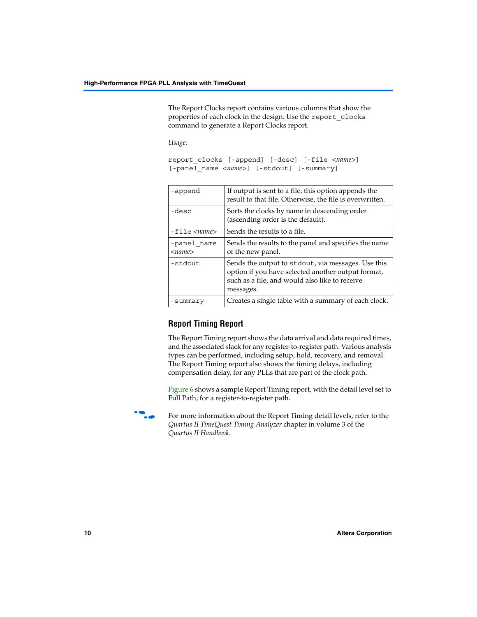The Report Clocks report contains various columns that show the properties of each clock in the design. Use the report\_clocks command to generate a Report Clocks report.

*Usage:*

```
report_clocks [-append] [-desc] [-file <name>] 
[-panel name <name>] [-stdout] [-summary]
```

| -append                     | If output is sent to a file, this option appends the<br>result to that file. Otherwise, the file is overwritten.                                                        |
|-----------------------------|-------------------------------------------------------------------------------------------------------------------------------------------------------------------------|
| -desc                       | Sorts the clocks by name in descending order<br>(ascending order is the default).                                                                                       |
| $-file name$                | Sends the results to a file.                                                                                                                                            |
| -panel name<br>$<$ name $>$ | Sends the results to the panel and specifies the name<br>of the new panel.                                                                                              |
| -stdout                     | Sends the output to stdout, via messages. Use this<br>option if you have selected another output format,<br>such as a file, and would also like to receive<br>messages. |
| -summary                    | Creates a single table with a summary of each clock.                                                                                                                    |

# **Report Timing Report**

The Report Timing report shows the data arrival and data required times, and the associated slack for any register-to-register path. Various analysis types can be performed, including setup, hold, recovery, and removal. The Report Timing report also shows the timing delays, including compensation delay, for any PLLs that are part of the clock path.

[Figure 6](#page-10-0) shows a sample Report Timing report, with the detail level set to Full Path, for a register-to-register path.



For more information about the Report Timing detail levels, refer to the *Quartus II TimeQuest Timing Analyzer* chapter in volume 3 of the *Quartus II Handbook*.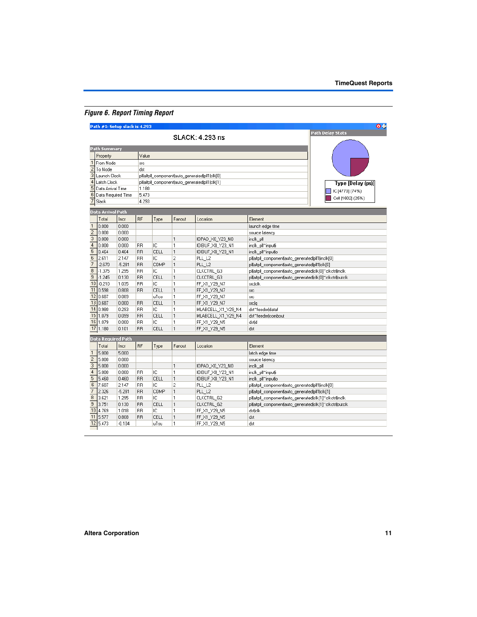# <span id="page-10-0"></span>*Figure 6. Report Timing Report*

|                                               | Path #1: Setup slack is 4.293 |                |                 |            |                   |                                                 |                                                           | O÷                |
|-----------------------------------------------|-------------------------------|----------------|-----------------|------------|-------------------|-------------------------------------------------|-----------------------------------------------------------|-------------------|
|                                               |                               |                |                 |            |                   | SLACK: 4.293 ns                                 |                                                           | Path Delay Stats  |
|                                               | <b>Path Summary</b>           |                |                 |            |                   |                                                 |                                                           |                   |
|                                               | Property                      |                | Value           |            |                   |                                                 |                                                           |                   |
|                                               | 1 From Node                   |                | src             |            |                   |                                                 |                                                           |                   |
| $\overline{\mathbf{c}}$                       | To Node                       |                | dst             |            |                   |                                                 |                                                           |                   |
| 3                                             | Launch Clock                  |                |                 |            |                   | plialtpli_component auto_generated pli1 clk[0]  |                                                           |                   |
| $\overline{4}$                                | Latch Clock                   |                |                 |            |                   | plijaltpli_componentjauto_generatedjpli1jclk[1] |                                                           | Type [Delay (ps)] |
| 5                                             | Data Arrival Time             |                | 1.180           |            |                   |                                                 |                                                           | IC [4770] (74%)   |
| $\overline{6}$<br>5.473<br>Data Required Time |                               |                |                 |            |                   |                                                 |                                                           | Cell [1602] (25%) |
| $\overline{7}$                                | Slack                         |                | 4.293           |            |                   |                                                 |                                                           |                   |
|                                               | <b>Data Arrival Path</b>      |                |                 |            |                   |                                                 |                                                           |                   |
|                                               | Total                         | Incr           | <b>BF</b>       | Type       | Fanout            | Location                                        | Element                                                   |                   |
| $\mathbf{1}$                                  | 0.000                         | 0.000          |                 |            |                   |                                                 | launch edge time                                          |                   |
| $\overline{2}$                                | 0.000                         | 0.000          |                 |            |                   |                                                 | source latency                                            |                   |
| $\overline{3}$                                | 0.000                         | 0.000          |                 |            | $\mathbf{1}$      | IOPAD_X0_Y23_N0                                 | inclk_pll                                                 |                   |
| $\overline{4}$                                | 0.000                         | 0.000          | <b>RR</b>       | IC         | 1                 | IOIBUF_X0_Y23_N1                                | inclk_pll~input i                                         |                   |
| 5                                             | 0.464                         | 0.464          | <b>RR</b>       | CELL       | $\mathbf{1}$      | IOIBUF X0 Y23 N1                                | inclk_pll~input o                                         |                   |
| 6                                             | 2.611                         | 2.147          | <b>RR</b>       | IC         | $\overline{c}$    | PLL L <sub>2</sub>                              | plijaltpli componentjauto generatedjpli1jinclk[0]         |                   |
| 7                                             | $-2.670$                      | $-5.281$       | <b>RR</b>       | COMP       | $\mathbf{1}$      | PLL L2                                          | plijaltpli componentjauto generatedjpli1jclk[0]           |                   |
| 8                                             | $-1.375$                      | 1.295          | <b>RR</b>       | IC         | 1                 | CLKCTRL G3                                      | plijaltpil componentjauto generatedjcik[0]~cikctrijincik  |                   |
| $\overline{9}$                                | $-1.245$                      | 0.130          | <b>BB</b>       | CELL       | $\mathbf{1}$      | CLKCTRL G3                                      | plijaltpli_componentjauto_generatedjclk[0]~clkctrijoutclk |                   |
|                                               | $10$ -0.210                   | 1.035          | <b>RR</b>       | IC         | 1                 | FF X1 Y29 N7                                    | srejelk                                                   |                   |
|                                               | 11 0.598                      | 0.808          | <b>RR</b>       | CELL       | $\mathbf{1}$      | FF X1_Y29_N7                                    | <b>STC</b>                                                |                   |
| 12                                            | 0.687                         | 0.089          |                 | uTco       | 1                 | FF_X1_Y29_N7                                    | src                                                       |                   |
| 13                                            | 0.687                         | 0.000          | <b>RR</b>       | CELL       | $\mathbf{1}$      | FF_X1_Y29_N7                                    | srelg                                                     |                   |
| 14                                            | 0.980                         | 0.293          | RR              | IC         | 1                 | MLABCELL_X1_Y29_N4                              | dst~feeder dataf                                          |                   |
| 15                                            | 1.079                         | 0.099          | <b>RR</b>       | CELL       | 1                 | MLABCELL_X1_Y29_N4                              | dst~feeder combout                                        |                   |
| 16                                            | 1.079                         | 0.000          | <b>BB</b>       | ТC         | 1                 | FF_X1_Y29_N5                                    | dstld                                                     |                   |
| 17                                            | 1.180                         | 0.101          | <b>RR</b>       | CELL       | 1                 | FF_X1_Y29_N5                                    | dst                                                       |                   |
|                                               | <b>Data Required Path</b>     |                |                 |            |                   |                                                 |                                                           |                   |
|                                               | Total                         | Incr           | <b>RF</b>       | Type       | Fanout            | Location                                        | Element                                                   |                   |
| $\mathbf{1}$                                  | 5.000                         | 5.000          |                 |            |                   |                                                 | latch edge time                                           |                   |
| $\overline{c}$                                | 5.000                         | 0.000          |                 |            |                   |                                                 | source latency                                            |                   |
| 3                                             | 5.000                         | 0.000          |                 |            | $\mathbf{1}$      | IOPAD X0 Y23 N0                                 | inclk pll                                                 |                   |
| $\overline{4}$                                | 5.000                         | 0.000          | <b>RR</b>       | ΙC         | 1                 | IOIBUF X0 Y23 N1                                | inclk_pll~input i                                         |                   |
| 5                                             | 5.460                         | 0.460          | <b>RR</b>       | CELL       | $\mathbf{1}$      | IOIBUF X0 Y23 N1                                | inclk_pll~input o                                         |                   |
| 6                                             | 7.607                         | 2.147          | <b>RR</b>       | ТC         | $\overline{c}$    | PLL_L2                                          | plilaltpli_component auto_generated pli1 inclk[0]         |                   |
| $\overline{7}$                                | 2.326                         | $-5.281$       | <b>RR</b>       | COMP       | $\mathbf{1}$      | PLL_L2                                          | plialtpli_componentlauto_generatedipli1 clk[1]            |                   |
| 8<br>$\overline{9}$                           | 3.621                         | 1.295          | <b>RR</b>       | IC         | 1                 | CLKCTRL_G2                                      | plilaltpli_component auto_generated clk[1]~clkctrl inclk  |                   |
|                                               | 3.751                         | 0.130          | <b>RR</b>       | CELL       | $\mathbf{1}$      | CLKCTRL_G2                                      | plijaltpli_componentjauto_generatedjclk[1]~clkctrijoutclk |                   |
| 11                                            | 10 4.769<br>5.577             | 1.018<br>0.808 | RR<br><b>RR</b> | ТC<br>CELL | 1<br>$\mathbf{1}$ | FF_X1_Y29_N5<br>FF_X1_Y29_N5                    | dsticik<br>dst                                            |                   |
| 12                                            | 5.473                         | $-0.104$       |                 | uTsu       | 1                 | FF_X1_Y29_N5                                    | dst                                                       |                   |
|                                               |                               |                |                 |            |                   |                                                 |                                                           |                   |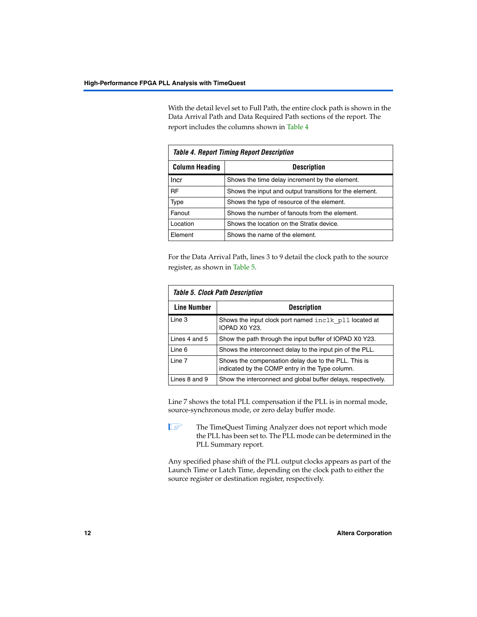With the detail level set to Full Path, the entire clock path is shown in the Data Arrival Path and Data Required Path sections of the report. The report includes the columns shown in [Table 4](#page-11-1)

<span id="page-11-1"></span>

|                       | <b>Table 4. Report Timing Report Description</b>        |
|-----------------------|---------------------------------------------------------|
| <b>Column Heading</b> | <b>Description</b>                                      |
| Incr                  | Shows the time delay increment by the element.          |
| <b>RF</b>             | Shows the input and output transitions for the element. |
| Type                  | Shows the type of resource of the element.              |
| Fanout                | Shows the number of fanouts from the element.           |
| Location              | Shows the location on the Stratix device.               |
| Element               | Shows the name of the element.                          |

For the Data Arrival Path, lines 3 to 9 detail the clock path to the source register, as shown in [Table 5](#page-11-0).

<span id="page-11-0"></span>

|                    | <b>Table 5. Clock Path Description</b>                                                                  |
|--------------------|---------------------------------------------------------------------------------------------------------|
| <b>Line Number</b> | <b>Description</b>                                                                                      |
| Line 3             | Shows the input clock port named inclk pll located at<br>IOPAD X0 Y23.                                  |
| Lines 4 and 5      | Show the path through the input buffer of IOPAD X0 Y23.                                                 |
| Line 6             | Shows the interconnect delay to the input pin of the PLL.                                               |
| Line 7             | Shows the compensation delay due to the PLL. This is<br>indicated by the COMP entry in the Type column. |
| Lines 8 and 9      | Show the interconnect and global buffer delays, respectively.                                           |

Line 7 shows the total PLL compensation if the PLL is in normal mode, source-synchronous mode, or zero delay buffer mode.

**1 The TimeQuest Timing Analyzer does not report which mode** the PLL has been set to. The PLL mode can be determined in the PLL Summary report.

Any specified phase shift of the PLL output clocks appears as part of the Launch Time or Latch Time, depending on the clock path to either the source register or destination register, respectively.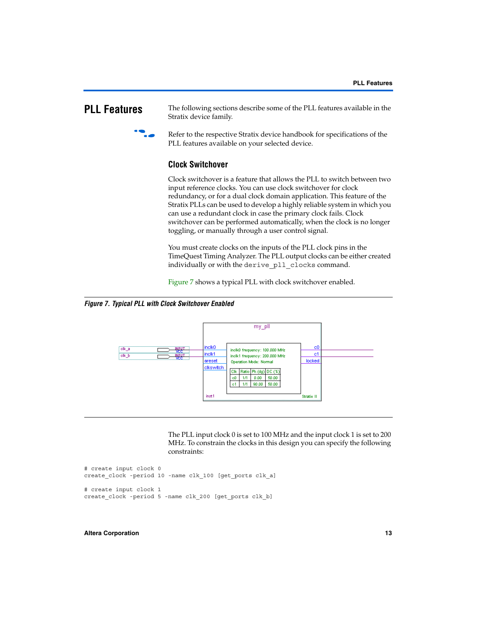<span id="page-12-0"></span>**PLL Features** The following sections describe some of the PLL features available in the Stratix device family.



Refer to the respective Stratix device handbook for specifications of the PLL features available on your selected device.

### **Clock Switchover**

Clock switchover is a feature that allows the PLL to switch between two input reference clocks. You can use clock switchover for clock redundancy, or for a dual clock domain application. This feature of the Stratix PLLs can be used to develop a highly reliable system in which you can use a redundant clock in case the primary clock fails. Clock switchover can be performed automatically, when the clock is no longer toggling, or manually through a user control signal.

You must create clocks on the inputs of the PLL clock pins in the TimeQuest Timing Analyzer. The PLL output clocks can be either created individually or with the derive\_pll\_clocks command.

[Figure 7](#page-12-1) shows a typical PLL with clock switchover enabled.

<span id="page-12-1"></span>*Figure 7. Typical PLL with Clock Switchover Enabled*



The PLL input clock 0 is set to 100 MHz and the input clock 1 is set to 200 MHz. To constrain the clocks in this design you can specify the following constraints:

```
# create input clock 0
create_clock -period 10 -name clk 100 [get ports clk a]
# create input clock 1
create clock -period 5 -name clk 200 [get ports clk b]
```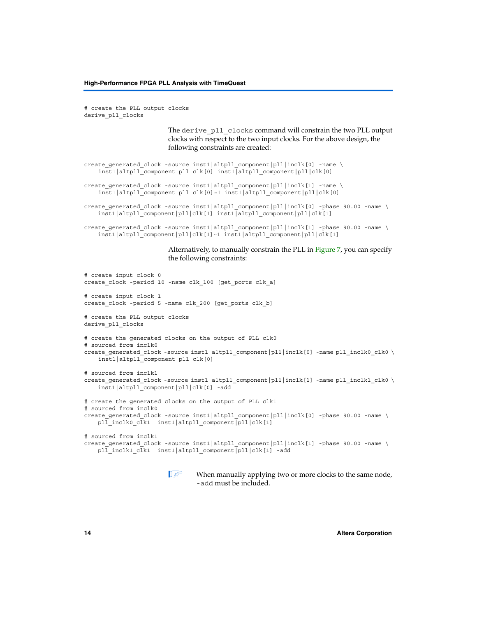# create the PLL output clocks derive\_pll\_clocks

> The derive pll clocks command will constrain the two PLL output clocks with respect to the two input clocks. For the above design, the following constraints are created:

```
create_generated_clock -source inst1|altpll_component|pll|inclk[0] -name \ 
    inst1|altpll_component|pll|clk[0] inst1|altpll_component|pll|clk[0]
create generated clock -source inst1|altpll component|pll|inclk[1] -name \setminusinst1|altpll_component|pll|clk[0]~1 inst1|altpll_component|pll|clk[0]
create generated clock -source inst1|altpll component|pll|inclk[0] -phase 90.00 -name \setminusinst1|altpll_component|pll|clk[1] inst1|altpll_component|pll|clk[1]
```

```
create_generated_clock -source inst1|altpll_component|pll|inclk[1] -phase 90.00 -name \ 
    inst1|altpll_component|pll|clk[1]~1 inst1|altpll_component|pll|clk[1]
```
Alternatively, to manually constrain the PLL in [Figure 7](#page-12-1), you can specify the following constraints:

```
# create input clock 0
create clock -period 10 -name clk 100 [get ports clk a]
# create input clock 1
create clock -period 5 -name clk 200 [get ports clk b]
# create the PLL output clocks
derive_pll_clocks
# create the generated clocks on the output of PLL clk0
# sourced from inclk0
create qenerated clock -source inst1|altpll component|pll|inclk[0] -name pll inclk0 clk0 \setminusinst1|altpll_component|pll|clk[0]
# sourced from inclk1
create generated clock -source inst1|altpll component|pll|inclk[1] -name pll inclk1 clk0 \setminusinst1|altpll_component|pll|clk[0] -add
# create the generated clocks on the output of PLL clk1
# sourced from inclk0
create qenerated clock -source inst1|altpll component|pll|inclk[0] -phase 90.00 -name \setminuspll_inclk0_clk1_inst1|altpll_component|pll|clk[1]
# sourced from inclk1
create generated clock -source inst1|altpll component|pll|inclk[1] -phase 90.00 -name \
   pll_inclk1_clk1_inst1|altpll_component|pll|clk[1] -add
```

```
\mathbb{I} \mathcal{F} When manually applying two or more clocks to the same node,
         -add must be included.
```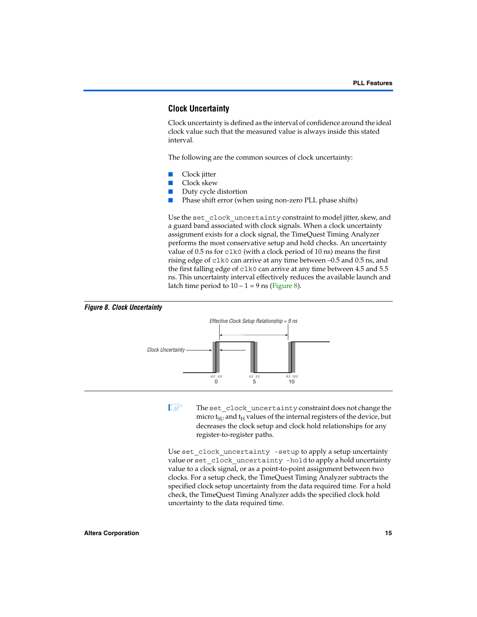## **Clock Uncertainty**

Clock uncertainty is defined as the interval of confidence around the ideal clock value such that the measured value is always inside this stated interval.

The following are the common sources of clock uncertainty:

- Clock jitter
- Clock skew
- Duty cycle distortion
- Phase shift error (when using non-zero PLL phase shifts)

Use the set clock uncertainty constraint to model jitter, skew, and a guard band associated with clock signals. When a clock uncertainty assignment exists for a clock signal, the TimeQuest Timing Analyzer performs the most conservative setup and hold checks. An uncertainty value of 0.5 ns for clk0 (with a clock period of 10 ns) means the first rising edge of clk0 can arrive at any time between –0.5 and 0.5 ns, and the first falling edge of clk0 can arrive at any time between 4.5 and 5.5 ns. This uncertainty interval effectively reduces the available launch and latch time period to  $10 - 1 = 9$  ns ([Figure 8](#page-14-0)).

<span id="page-14-0"></span>

The set\_clock\_uncertainty constraint does not change the micro  $t_{\text{SI}}$  and  $t_{\text{H}}$  values of the internal registers of the device, but decreases the clock setup and clock hold relationships for any register-to-register paths.

Use set\_clock\_uncertainty -setup to apply a setup uncertainty value or set clock uncertainty -hold to apply a hold uncertainty value to a clock signal, or as a point-to-point assignment between two clocks. For a setup check, the TimeQuest Timing Analyzer subtracts the specified clock setup uncertainty from the data required time. For a hold check, the TimeQuest Timing Analyzer adds the specified clock hold uncertainty to the data required time.

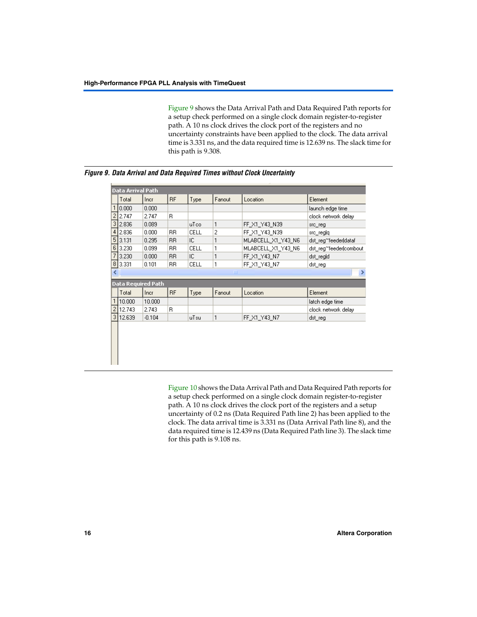[Figure 9](#page-15-0) shows the Data Arrival Path and Data Required Path reports for a setup check performed on a single clock domain register-to-register path. A 10 ns clock drives the clock port of the registers and no uncertainty constraints have been applied to the clock. The data arrival time is 3.331 ns, and the data required time is 12.639 ns. The slack time for this path is 9.308.

| Data Arrival Path<br><b>RF</b><br>Fanout<br>Type<br>Location<br>Total<br>Element<br>Incr<br>1<br>0.000<br>0.000<br>$\overline{2}$<br>B.<br>2.747<br>2.747<br>3<br>1<br>2.836<br>0.089<br>uTco<br>FF X1 Y43 N39<br>src_reg<br>$\overline{c}$<br>4 <sup>1</sup><br>2.836<br>0.000<br>CELL<br>RR.<br>FF X1 Y43 N39<br>src_reglq<br>5 <sub>l</sub><br>3.131<br>0.295<br><b>BB</b><br>IC.<br>1<br>MLABCELL X1_Y43_N6<br>6 <br>1<br>3.230<br>0.099<br>RR.<br>CELL<br>MLABCELL_X1_Y43_N6<br>7<br>1<br>IC.<br>3.230<br>0.000<br><b>BB</b><br>FF_X1_Y43_N7<br>dst_reg d<br>$\lvert 8 \rvert$<br>3.331<br>1<br>FF X1 Y43 N7<br>0.101<br>RR.<br>CELL<br>dst reg<br>∢<br>TIII.<br><b>Data Required Path</b><br><b>RF</b><br>Fanout<br>Total<br>Type<br>Location<br>Element<br>Incr<br>1 <sup>1</sup><br>10.000<br>10.000<br>latch edge time<br>$\overline{2}$<br>R<br>12.743<br>2.743<br>3 <sup>1</sup><br>12.639<br>$-0.104$ | launch edge time<br>clock network delay<br>dst_reg~feeder dataf<br>dst reg~feeder combout<br>≯<br>clock network delay |
|-------------------------------------------------------------------------------------------------------------------------------------------------------------------------------------------------------------------------------------------------------------------------------------------------------------------------------------------------------------------------------------------------------------------------------------------------------------------------------------------------------------------------------------------------------------------------------------------------------------------------------------------------------------------------------------------------------------------------------------------------------------------------------------------------------------------------------------------------------------------------------------------------------------------|-----------------------------------------------------------------------------------------------------------------------|
|                                                                                                                                                                                                                                                                                                                                                                                                                                                                                                                                                                                                                                                                                                                                                                                                                                                                                                                   |                                                                                                                       |
|                                                                                                                                                                                                                                                                                                                                                                                                                                                                                                                                                                                                                                                                                                                                                                                                                                                                                                                   |                                                                                                                       |
|                                                                                                                                                                                                                                                                                                                                                                                                                                                                                                                                                                                                                                                                                                                                                                                                                                                                                                                   |                                                                                                                       |
|                                                                                                                                                                                                                                                                                                                                                                                                                                                                                                                                                                                                                                                                                                                                                                                                                                                                                                                   |                                                                                                                       |
|                                                                                                                                                                                                                                                                                                                                                                                                                                                                                                                                                                                                                                                                                                                                                                                                                                                                                                                   |                                                                                                                       |
|                                                                                                                                                                                                                                                                                                                                                                                                                                                                                                                                                                                                                                                                                                                                                                                                                                                                                                                   |                                                                                                                       |
|                                                                                                                                                                                                                                                                                                                                                                                                                                                                                                                                                                                                                                                                                                                                                                                                                                                                                                                   |                                                                                                                       |
|                                                                                                                                                                                                                                                                                                                                                                                                                                                                                                                                                                                                                                                                                                                                                                                                                                                                                                                   |                                                                                                                       |
|                                                                                                                                                                                                                                                                                                                                                                                                                                                                                                                                                                                                                                                                                                                                                                                                                                                                                                                   |                                                                                                                       |
|                                                                                                                                                                                                                                                                                                                                                                                                                                                                                                                                                                                                                                                                                                                                                                                                                                                                                                                   |                                                                                                                       |
|                                                                                                                                                                                                                                                                                                                                                                                                                                                                                                                                                                                                                                                                                                                                                                                                                                                                                                                   |                                                                                                                       |
|                                                                                                                                                                                                                                                                                                                                                                                                                                                                                                                                                                                                                                                                                                                                                                                                                                                                                                                   |                                                                                                                       |
|                                                                                                                                                                                                                                                                                                                                                                                                                                                                                                                                                                                                                                                                                                                                                                                                                                                                                                                   |                                                                                                                       |
|                                                                                                                                                                                                                                                                                                                                                                                                                                                                                                                                                                                                                                                                                                                                                                                                                                                                                                                   |                                                                                                                       |
|                                                                                                                                                                                                                                                                                                                                                                                                                                                                                                                                                                                                                                                                                                                                                                                                                                                                                                                   |                                                                                                                       |
|                                                                                                                                                                                                                                                                                                                                                                                                                                                                                                                                                                                                                                                                                                                                                                                                                                                                                                                   | 1<br>FF X1 Y43 N7<br>uTsu<br>dst_reg                                                                                  |
|                                                                                                                                                                                                                                                                                                                                                                                                                                                                                                                                                                                                                                                                                                                                                                                                                                                                                                                   |                                                                                                                       |

<span id="page-15-0"></span>*Figure 9. Data Arrival and Data Required Times without Clock Uncertainty*

[Figure 10](#page-16-0) shows the Data Arrival Path and Data Required Path reports for a setup check performed on a single clock domain register-to-register path. A 10 ns clock drives the clock port of the registers and a setup uncertainty of 0.2 ns (Data Required Path line 2) has been applied to the clock. The data arrival time is 3.331 ns (Data Arrival Path line 8), and the data required time is 12.439 ns (Data Required Path line 3). The slack time for this path is 9.108 ns.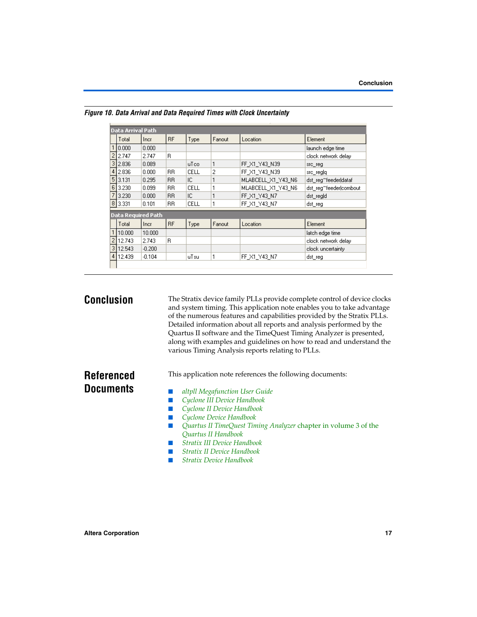|                   | Data Arrival Path         |          |           |             |        |                    |                        |
|-------------------|---------------------------|----------|-----------|-------------|--------|--------------------|------------------------|
|                   | Total                     | Incr     | <b>RF</b> | Type        | Fanout | Location           | Element                |
|                   | 10.000                    | 0.000    |           |             |        |                    | launch edge time       |
| 2                 | 2.747                     | 2.747    | R.        |             |        |                    | clock network delay    |
| 3                 | 2.836                     | 0.089    |           | uTco        | 1      | FF X1 Y43 N39      | src_reg                |
| 4                 | 2.836                     | 0.000    | <b>BB</b> | CELL        | 2      | FF X1 Y43 N39      | src_regig              |
| 5                 | 3.131                     | 0.295    | <b>RR</b> | IC.         | 1      | MLABCELL X1 Y43 N6 | dst reg~feeder dataf   |
| 6                 | 3.230                     | 0.099    | <b>RR</b> | CELL        | 1      | MLABCELL X1 Y43 N6 | dst_reg~feeder combout |
| 7                 | 3.230                     | 0.000    | <b>BB</b> | IC          | 1      | FF X1 Y43 N7       | dst_reg d              |
| $\lvert 8 \rvert$ | 3.331                     | 0.101    | <b>BB</b> | <b>CELL</b> | 1      | FF X1 Y43 N7       | dst reg                |
|                   | <b>Data Required Path</b> |          |           |             |        |                    |                        |
|                   | Total                     | Incr     | <b>RF</b> | Type        | Fanout | Location           | Element                |
|                   | 10.000                    | 10.000   |           |             |        |                    | latch edge time        |
| 2                 | 12.743                    | 2.743    | B.        |             |        |                    | clock network delay    |
| 3                 | 12.543                    | $-0.200$ |           |             |        |                    | clock uncertainty      |
| 4                 | 12.439                    | $-0.104$ |           | uTsu        | 1      | FF X1 Y43 N7       | dst reg                |

<span id="page-16-0"></span>*Figure 10. Data Arrival and Data Required Times with Clock Uncertainty*

**Conclusion** The Stratix device family PLLs provide complete control of device clocks and system timing. This application note enables you to take advantage of the numerous features and capabilities provided by the Stratix PLLs. Detailed information about all reports and analysis performed by the Quartus II software and the TimeQuest Timing Analyzer is presented, along with examples and guidelines on how to read and understand the various Timing Analysis reports relating to PLLs.

# **Referenced Documents**

- This application note references the following documents:
- *altpll Megafunction User Guide*
- *[Cyclone III Device Handbook](http://www.altera.com/literature/hb/cyc3/cyclone3_handbook.pdf)*
- *[Cyclone II Device Handbook](http://www.altera.com/literature/hb/cyc2/cyc2_cii5v1.pdf)*
- *[Cyclone Device Handbook](http://www.altera.com/literature/hb/cyc/cyc_c5v1.pdf)*
- *Quartus II Tim[e](http://www.altera.com/literature/hb/qts/quartusii_handbook.pdf)Quest Timing Analyzer chapter in volume 3 of the [Quartus II Handbook](http://www.altera.com/literature/hb/qts/quartusii_handbook.pdf)*
- *[Stratix III Device Handbook](http://www.altera.com/literature/hb/stx3/stratix3_handbook.pdf)*
- *[Stratix II Device Handbook](http://www.altera.com/literature/hb/stx2/stratix2_handbook.pdf)*
- *[Stratix Device Handbook](http://www.altera.com/literature/hb/stx/stratix_handbook.pdf)*